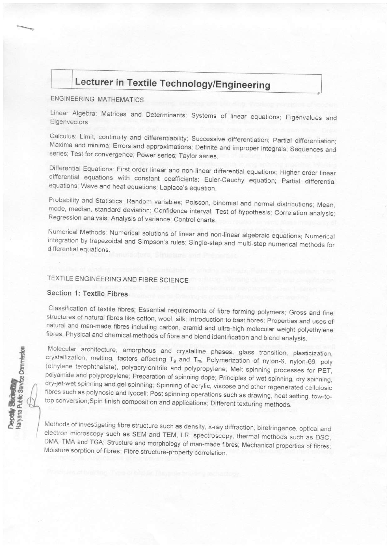# Lecturer in Textile Technology/Engineering

# **ENGINEERING MATHEMATICS**

Linear Algebra: Matrices and Determinants; Systems of linear equations; Eigenvalues and Eigenvectors.

Calculus: Limit, continuity and differentiability; Successive differentiation; Partial differentiation; Maxima and minima; Errors and approximations; Definite and improper integrals; Sequences and series; Test for convergence; Power series; Taylor series.

Differential Equations: First order linear and non-linear differential equations; Higher order linear differential equations with constant coefficients; Euler-Cauchy equation; Partial differential equations; Wave and heat equations; Laplace's equation.

Probability and Statistics: Random variables; Poisson, binomial and normal distributions; Mean, mode, median, standard deviation; Confidence interval; Test of hypothesis; Correlation analysis; Regression analysis; Analysis of variance; Control charts.

Numerical Methods: Numerical solutions of linear and non-linear algebraic equations; Numerical integration by trapezoidal and Simpson's rules; Single-step and multi-step numerical methods for differential equations.

#### TEXTILE ENGINEERING AND FIBRE SCIENCE

#### Section 1: Textile Fibres

epody<br>aryana Public Service Commission

Classification of textile fibres; Essential requirements of fibre forming polymers; Gross and fine structures of natural fibres like cotton, wool, silk; Introduction to bast fibres; Properties and uses of natural and man-made fibres including carbon, aramid and ultra-high molecular weight polyethylene fibres; Physical and chemical methods of fibre and blend identification and blend analysis.

Molecular architecture, amorphous and crystalline phases, glass transition, plasticization, crystallization, melting, factors affecting T<sub>g</sub> and T<sub>m</sub>; Polymerization of nylon-6, nylon-66, poly (ethylene terephthalate), polyacrylonitrile and polypropylene; Melt spinning processes for PET, polyamide and polypropylene; Preparation of spinning dope; Principles of wet spinning, dry spinning, dry-jet-wet spinning and gel spinning; Spinning of acrylic, viscose and other regenerated cellulosic fibres such as polynosic and lyocell; Post spinning operations such as drawing, heat setting, tow-totop conversion; Spin finish composition and applications; Different texturing methods.

Methods of investigating fibre structure such as density, x-ray diffraction, birefringence, optical and electron microscopy such as SEM and TEM, I.R. spectroscopy, thermal methods such as DSC, DMA, TMA and TGA; Structure and morphology of man-made fibres; Mechanical properties of fibres; Moisture sorption of fibres; Fibre structure-property correlation.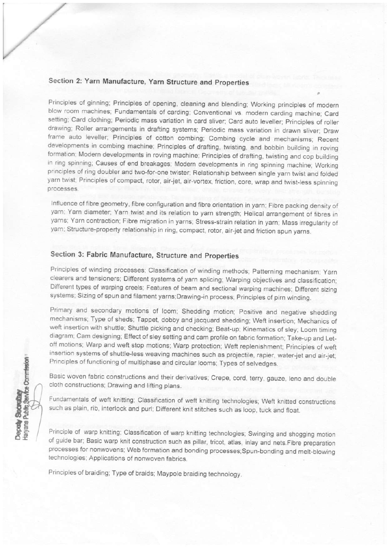# Section 2: Yarn Manufacture, Yarn Structure and Properties

Principles of ginning; Principles of opening, cleaning and blending; Working principles of modern blow room machines; Fundamentals of carding; Conventional vs. modern carding machine; Card setting; Card clothing; Periodic mass variation in card sliver; Card auto leveller; Principles of roller drawing; Roller arrangements in drafting systems; Periodic mass variation in drawn sliver; Draw frame auto leveller; Principles of cotton combing; Combing cycle and mechanisms; Recent developments in combing machine; Principles of drafting, twisting, and bobbin building in roving formation; Modern developments in roving machine; Principles of drafting, twisting and cop building in ring spinning; Causes of end breakages; Modern developments in ring spinning machine; Working principles of ring doubler and two-for-one twister; Relationship between single yarn twist and folded yarn twist; Principles of compact, rotor, air-jet, air-vortex, friction, core, wrap and twist-less spinning processes.

Influence of fibre geometry, fibre configuration and fibre orientation in yarn; Fibre packing density of yarn; Yarn diameter; Yarn twist and its relation to yarn strength; Helical arrangement of fibres in yarns; Yarn contraction; Fibre migration in yarns; Stress-strain relation in yarn; Mass irregularity of yarn; Structure-property relationship in ring, compact, rotor, air-jet and friction spun yarns.

# Section 3: Fabric Manufacture, Structure and Properties

Principles of winding processes; Classification of winding methods; Patterning mechanism; Yarn clearers and tensioners; Ditferent systems of yarn splicing; Warping objectives and classification; Different types of warping creels; Features of beam and sectional warping machines; Different sizing systems; Sizing of spun and filament yarns; Drawing-in process; Principles of pirn winding.

Primary and secondary motions of loom; Shedding motion; Positive and negative shedding mechanisms; Type of sheds; Tappet, dobby and jacquard shedding; Weft insertion; Mechanics of weft insertion with shuttle; Shuttle picking and checking; Beat-up; Kinematics of sley; Loom timing diagram; Cam designing; Effect of sley setting and cam profile on fabric formation; Take-up and Letoff motions; Warp and weft stop motions; Warp protection; Weft replenishment; Principles of weft insertion systems of shuttle-less weaving machines such as projectile, rapier, water-jet and air-jet; Principles of functioning of multiphase and circular looms; Types of selvedges.

Basic woven fabric constructions and their derivatives; Crepe, cord, terry, gauze, leno and double cloth constructions; Drawing and lifting plans.

Fundamentals of weft knitting; Classification of weft knitting technologies; Weft knitted constructions such as plain, rib, interlock and purl; Different knit stitches such as loop, tuck and float.

Principle of warp knitting; Classification of warp knitting technologies; Swinging and shogging motion of guide bar; Basic warp knit construction such as pillar, tricot, atlas, inlay and nets.Fibre preparation processes for nonwovens; Web formation and bonding processes; Spun-bonding and melt-blowing technologies; Applications of nonwoven fabrics.

Principles of braiding; Type of braids; Maypole braiding technology.